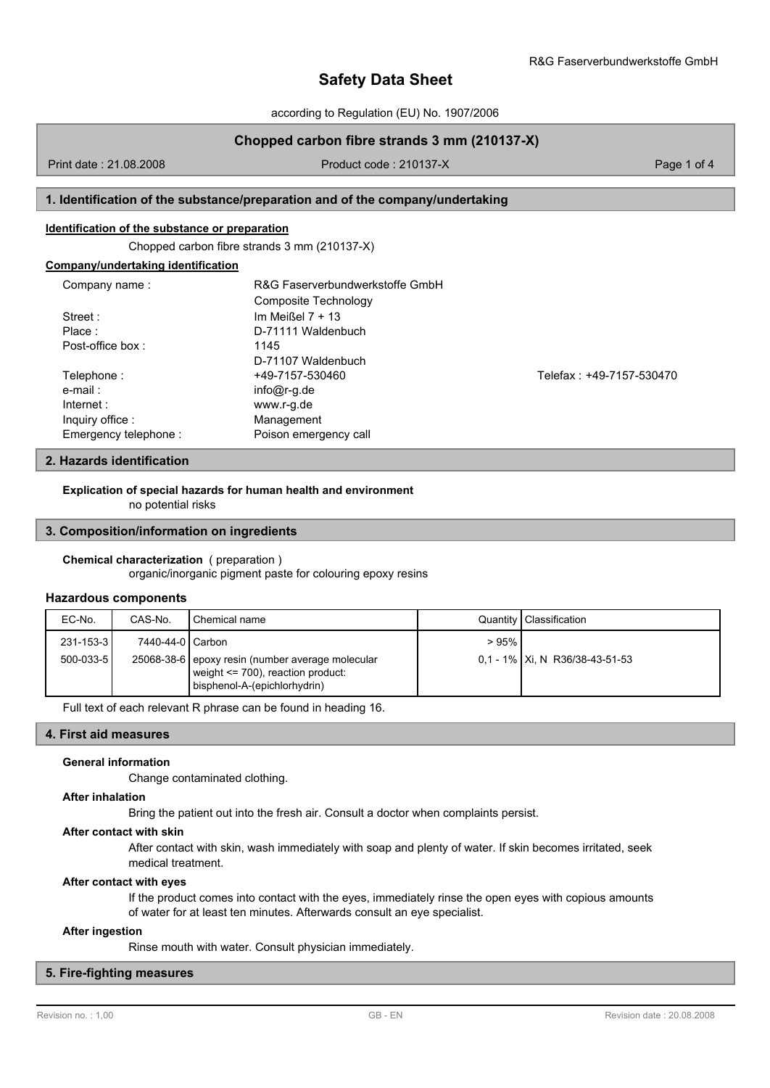**Safety Data Sheet**

according to Regulation (EU) No. 1907/2006

# **Chopped carbon fibre strands 3 mm (210137-X)**

Print date : 21.08.2008 Product code : 210137-X Page 1 of 4

## **1. Identification of the substance/preparation and of the company/undertaking**

### **Identification of the substance or preparation**

Chopped carbon fibre strands 3 mm (210137-X)

| Company/undertaking identification |  |
|------------------------------------|--|
|------------------------------------|--|

| Company name:        | R&G Faserverbundwerkstoffe GmbH |                          |
|----------------------|---------------------------------|--------------------------|
|                      | Composite Technology            |                          |
| Street:              | Im Meißel $7 + 13$              |                          |
| Place:               | D-71111 Waldenbuch              |                          |
| Post-office box:     | 1145                            |                          |
|                      | D-71107 Waldenbuch              |                          |
| Telephone:           | +49-7157-530460                 | Telefax: +49-7157-530470 |
| e-mail:              | $info@r-q.de$                   |                          |
| Internet:            | www.r-g.de                      |                          |
| Inquiry office:      | Management                      |                          |
| Emergency telephone: | Poison emergency call           |                          |

# **2. Hazards identification**

**Explication of special hazards for human health and environment**

no potential risks

### **3. Composition/information on ingredients**

#### **Chemical characterization** ( preparation )

organic/inorganic pigment paste for colouring epoxy resins

### **Hazardous components**

| EC-No.           | CAS-No.          | I Chemical name                                                                                                           |      | Quantity   Classification         |
|------------------|------------------|---------------------------------------------------------------------------------------------------------------------------|------|-----------------------------------|
| $231 - 153 - 31$ | 7440-44-0 Carbon |                                                                                                                           | >95% |                                   |
| $500 - 033 - 51$ |                  | 25068-38-6 epoxy resin (number average molecular<br>weight $\leq$ 700), reaction product:<br>bisphenol-A-(epichlorhydrin) |      | $0.1 - 1\%$ Xi, N R36/38-43-51-53 |

Full text of each relevant R phrase can be found in heading 16.

# **4. First aid measures**

### **General information**

Change contaminated clothing.

### **After inhalation**

Bring the patient out into the fresh air. Consult a doctor when complaints persist.

#### **After contact with skin**

After contact with skin, wash immediately with soap and plenty of water. If skin becomes irritated, seek medical treatment.

### **After contact with eyes**

If the product comes into contact with the eyes, immediately rinse the open eyes with copious amounts of water for at least ten minutes. Afterwards consult an eye specialist.

### **After ingestion**

Rinse mouth with water. Consult physician immediately.

# **5. Fire-fighting measures**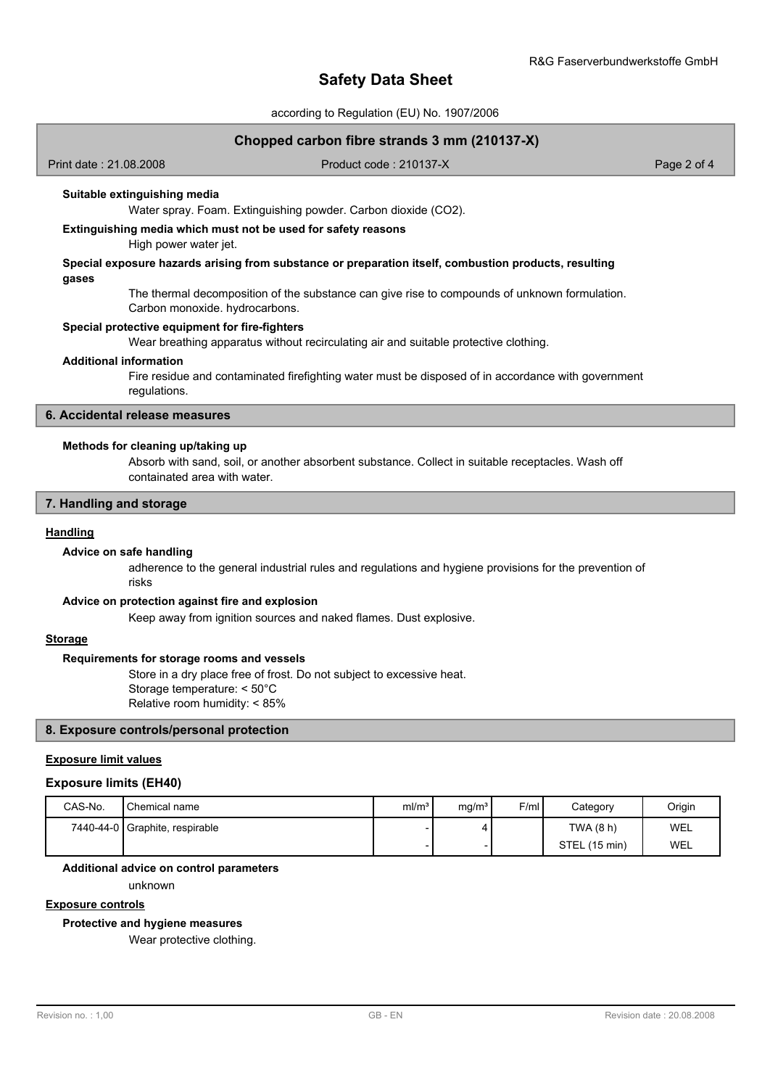# **Safety Data Sheet**

according to Regulation (EU) No. 1907/2006

## **Chopped carbon fibre strands 3 mm (210137-X)**

Print date : 21.08.2008 Product code : 210137-X Page 2 of 4

### **Suitable extinguishing media**

Water spray. Foam. Extinguishing powder. Carbon dioxide (CO2).

# **Extinguishing media which must not be used for safety reasons**

High power water jet.

### **Special exposure hazards arising from substance or preparation itself, combustion products, resulting gases**

The thermal decomposition of the substance can give rise to compounds of unknown formulation. Carbon monoxide. hydrocarbons.

### **Special protective equipment for fire-fighters**

Wear breathing apparatus without recirculating air and suitable protective clothing.

#### **Additional information**

Fire residue and contaminated firefighting water must be disposed of in accordance with government regulations.

## **6. Accidental release measures**

### **Methods for cleaning up/taking up**

Absorb with sand, soil, or another absorbent substance. Collect in suitable receptacles. Wash off containated area with water.

## **7. Handling and storage**

#### **Handling**

### **Advice on safe handling**

adherence to the general industrial rules and regulations and hygiene provisions for the prevention of risks

#### **Advice on protection against fire and explosion**

Keep away from ignition sources and naked flames. Dust explosive.

# **Storage**

### **Requirements for storage rooms and vessels**

Store in a dry place free of frost. Do not subject to excessive heat. Storage temperature: < 50°C Relative room humidity: < 85%

# **8. Exposure controls/personal protection**

# **Exposure limit values**

#### **Exposure limits (EH40)**

| CAS-No. | Chemical name                  | ml/m <sup>3</sup> | mq/m <sup>3</sup> | F/ml | Category      | Origin |
|---------|--------------------------------|-------------------|-------------------|------|---------------|--------|
|         | 7440-44-0 Graphite, respirable |                   |                   |      | TWA (8 h)     | WEL    |
|         |                                |                   |                   |      | STEL (15 min) | WEL    |

#### **Additional advice on control parameters**

unknown

# **Exposure controls**

**Protective and hygiene measures**

Wear protective clothing.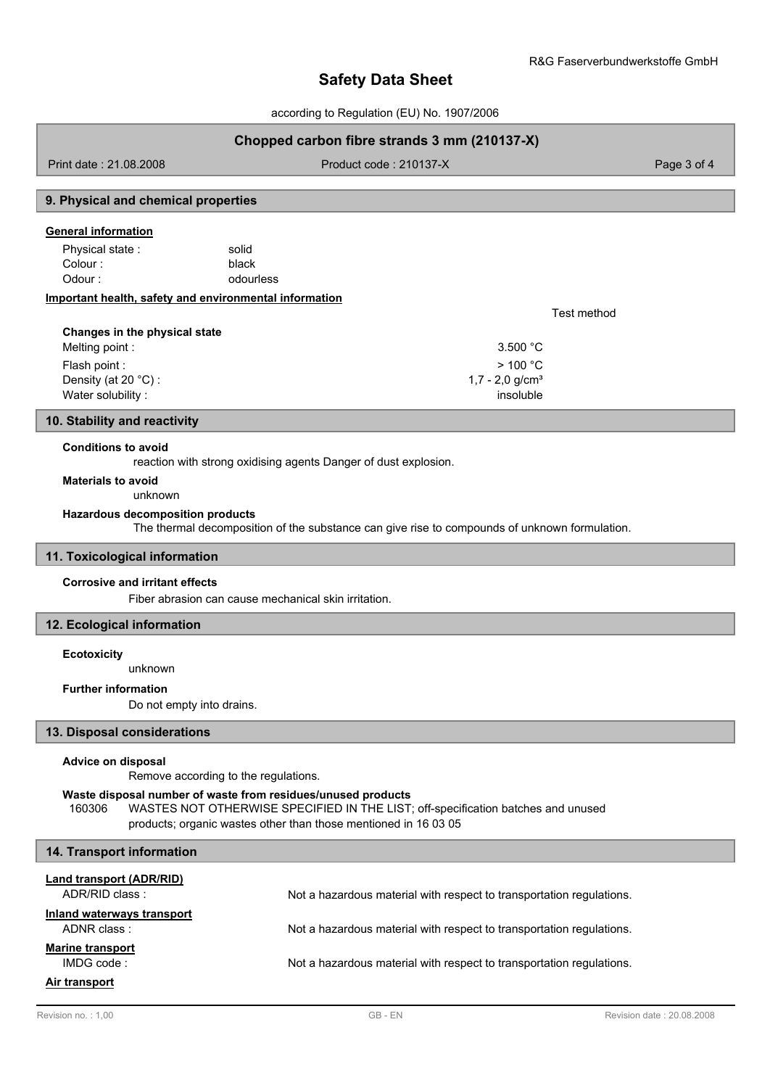Test method

# **Safety Data Sheet**

according to Regulation (EU) No. 1907/2006

# **Chopped carbon fibre strands 3 mm (210137-X)**

Print date : 21.08.2008 Product code : 210137-X Product code : 210137-X Page 3 of 4

# **9. Physical and chemical properties**

### **General information**

black Physical state : solid Colour : Odour : contract of the odourless

### **Important health, safety and environmental information**

| Changes in the physical state |                             |
|-------------------------------|-----------------------------|
| Melting point :               | 3.500 °C                    |
| Flash point :                 | >100 °C                     |
| Density (at 20 $°C$ ) :       | 1,7 - 2,0 g/cm <sup>3</sup> |
| Water solubility:             | insoluble                   |

### **10. Stability and reactivity**

### **Conditions to avoid**

reaction with strong oxidising agents Danger of dust explosion.

### **Materials to avoid**

unknown

# **Hazardous decomposition products**

The thermal decomposition of the substance can give rise to compounds of unknown formulation.

### **11. Toxicological information**

### **Corrosive and irritant effects**

Fiber abrasion can cause mechanical skin irritation.

# **12. Ecological information**

### **Ecotoxicity**

unknown

# **Further information**

Do not empty into drains.

### **13. Disposal considerations**

### **Advice on disposal**

Remove according to the regulations.

### **Waste disposal number of waste from residues/unused products**

160306 WASTES NOT OTHERWISE SPECIFIED IN THE LIST; off-specification batches and unused products; organic wastes other than those mentioned in 16 03 05

| 14. Transport information                  |                                                                      |
|--------------------------------------------|----------------------------------------------------------------------|
| Land transport (ADR/RID)<br>ADR/RID class: | Not a hazardous material with respect to transportation regulations. |
| Inland waterways transport<br>ADNR class:  | Not a hazardous material with respect to transportation regulations. |
| <b>Marine transport</b><br>IMDGcode:       | Not a hazardous material with respect to transportation regulations. |
| Air transport                              |                                                                      |